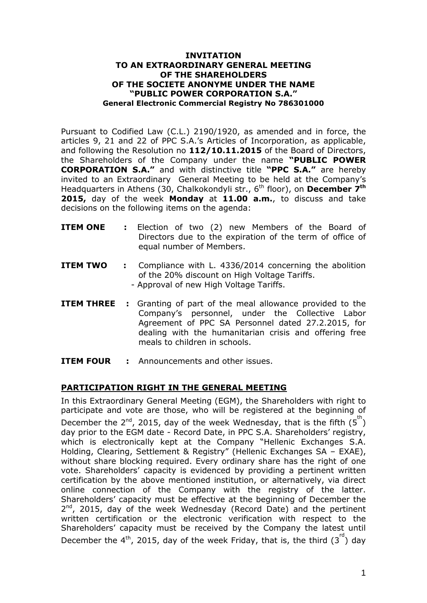#### **INVITATION TO AN EXTRAORDINARY GENERAL MEETING OF THE SHAREHOLDERS OF THE SOCIETE ANONYME UNDER THE NAME "PUBLIC POWER CORPORATION S.A." General Electronic Commercial Registry No 786301000**

Pursuant to Codified Law (C.L.) 2190/1920, as amended and in force, the articles 9, 21 and 22 of PPC S.A.'s Articles of Incorporation, as applicable, and following the Resolution no **112/10.11.2015** of the Board of Directors, the Shareholders of the Company under the name **"PUBLIC POWER CORPORATION S.A."** and with distinctive title **"PPC S.A."** are hereby invited to an Extraordinary General Meeting to be held at the Company's Headquarters in Athens (30, Chalkokondyli str., 6<sup>th</sup> floor), on December 7<sup>th</sup> **2015,** day of the week **Monday** at **11.00 a.m.**, to discuss and take decisions on the following items on the agenda:

- **ITEM ONE :** Election of two (2) new Members of the Board of Directors due to the expiration of the term of office of equal number of Members.
- **ITEM TWO** : Compliance with L. 4336/2014 concerning the abolition of the 20% discount on High Voltage Tariffs. - Approval of new High Voltage Tariffs.
- **ITEM THREE** : Granting of part of the meal allowance provided to the Company's personnel, under the Collective Labor Agreement of PPC SA Personnel dated 27.2.2015, for dealing with the humanitarian crisis and offering free meals to children in schools.
- **ITEM FOUR :** Announcements and other issues.

### **PARTICIPATION RIGHT IN THE GENERAL MEETING**

In this Extraordinary General Meeting (EGM), the Shareholders with right to participate and vote are those, who will be registered at the beginning of December the 2<sup>nd</sup>, 2015, day of the week Wednesday, that is the fifth  $(5^{th})$ day prior to the EGM date - Record Date, in PPC S.A. Shareholders' registry, which is electronically kept at the Company "Hellenic Exchanges S.A. Holding, Clearing, Settlement & Registry" (Hellenic Exchanges SA – EXAE), without share blocking required. Every ordinary share has the right of one vote. Shareholders' capacity is evidenced by providing a pertinent written certification by the above mentioned institution, or alternatively, via direct online connection of the Company with the registry of the latter. Shareholders' capacity must be effective at the beginning of December the 2<sup>nd</sup>, 2015, day of the week Wednesday (Record Date) and the pertinent written certification or the electronic verification with respect to the Shareholders' capacity must be received by the Company the latest until December the 4<sup>th</sup>, 2015, day of the week Friday, that is, the third  $(3^{rd})$  day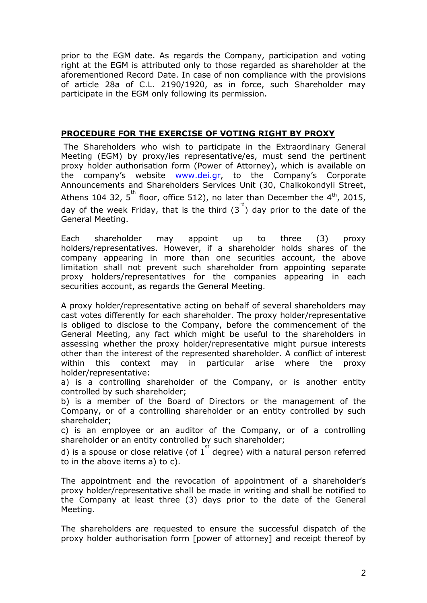prior to the EGM date. As regards the Company, participation and voting right at the EGM is attributed only to those regarded as shareholder at the aforementioned Record Date. In case of non compliance with the provisions of article 28a of C.L. 2190/1920, as in force, such Shareholder may participate in the EGM only following its permission.

# **PROCEDURE FOR THE EXERCISE OF VOTING RIGHT BY PROXY**

The Shareholders who wish to participate in the Extraordinary General Meeting (EGM) by proxy/ies representative/es, must send the pertinent proxy holder authorisation form (Power of Attorney), which is available on the company's website [www.dei.gr,](http://www.dei.gr/) to the Company's Corporate Announcements and Shareholders Services Unit (30, Chalkokondyli Street, Athens 104 32,  $5^{\text{th}}$  floor, office 512), no later than December the 4<sup>th</sup>, 2015, day of the week Friday, that is the third  $(3^{rd})$  day prior to the date of the General Meeting.

Each shareholder may appoint up to three (3) proxy holders/representatives. However, if a shareholder holds shares of the company appearing in more than one securities account, the above limitation shall not prevent such shareholder from appointing separate proxy holders/representatives for the companies appearing in each securities account, as regards the General Meeting.

A proxy holder/representative acting on behalf of several shareholders may cast votes differently for each shareholder. The proxy holder/representative is obliged to disclose to the Company, before the commencement of the General Meeting, any fact which might be useful to the shareholders in assessing whether the proxy holder/representative might pursue interests other than the interest of the represented shareholder. A conflict of interest within this context may in particular arise where the proxy holder/representative:

a) is a controlling shareholder of the Company, or is another entity controlled by such shareholder;

b) is a member of the Board of Directors or the management of the Company, or of a controlling shareholder or an entity controlled by such shareholder;

c) is an employee or an auditor of the Company, or of a controlling shareholder or an entity controlled by such shareholder;

d) is a spouse or close relative (of  $1<sup>st</sup>$  degree) with a natural person referred to in the above items a) to c).

The appointment and the revocation of appointment of a shareholder's proxy holder/representative shall be made in writing and shall be notified to the Company at least three (3) days prior to the date of the General Meeting.

The shareholders are requested to ensure the successful dispatch of the proxy holder authorisation form [power of attorney] and receipt thereof by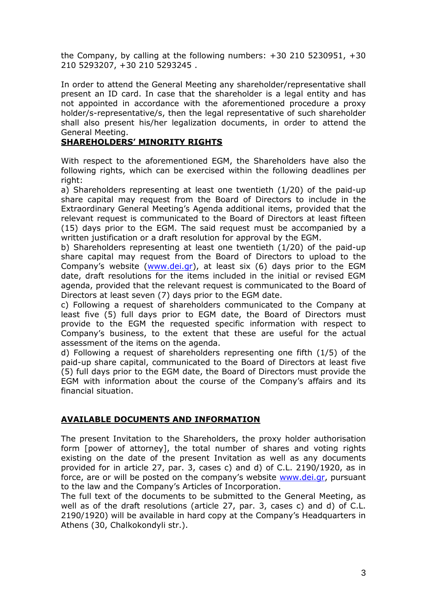the Company, by calling at the following numbers:  $+30$  210 5230951,  $+30$ 210 5293207, +30 210 5293245 .

In order to attend the General Meeting any shareholder/representative shall present an ID card. In case that the shareholder is a legal entity and has not appointed in accordance with the aforementioned procedure a proxy holder/s-representative/s, then the legal representative of such shareholder shall also present his/her legalization documents, in order to attend the General Meeting.

## **SHAREHOLDERS' MINORITY RIGHTS**

With respect to the aforementioned EGM, the Shareholders have also the following rights, which can be exercised within the following deadlines per right:

a) Shareholders representing at least one twentieth (1/20) of the paid-up share capital may request from the Board of Directors to include in the Extraordinary General Meeting's Agenda additional items, provided that the relevant request is communicated to the Board of Directors at least fifteen (15) days prior to the EGM. The said request must be accompanied by a written justification or a draft resolution for approval by the EGM.

b) Shareholders representing at least one twentieth (1/20) of the paid-up share capital may request from the Board of Directors to upload to the Company's website ([www.dei.gr\)](http://www.dei.gr/), at least six (6) days prior to the EGM date, draft resolutions for the items included in the initial or revised EGM agenda, provided that the relevant request is communicated to the Board of Directors at least seven (7) days prior to the EGM date.

c) Following a request of shareholders communicated to the Company at least five (5) full days prior to EGM date, the Board of Directors must provide to the EGM the requested specific information with respect to Company's business, to the extent that these are useful for the actual assessment of the items on the agenda.

d) Following a request of shareholders representing one fifth (1/5) of the paid-up share capital, communicated to the Board of Directors at least five (5) full days prior to the EGM date, the Board of Directors must provide the EGM with information about the course of the Company's affairs and its financial situation.

### **AVAILABLE DOCUMENTS AND INFORMATION**

The present Invitation to the Shareholders, the proxy holder authorisation form [power of attorney], the total number of shares and voting rights existing on the date of the present Invitation as well as any documents provided for in article 27, par. 3, cases c) and d) of C.L. 2190/1920, as in force, are or will be posted on the company's website [www.dei.gr,](http://www.dei.gr/) pursuant to the law and the Company's Articles of Incorporation.

The full text of the documents to be submitted to the General Meeting, as well as of the draft resolutions (article 27, par. 3, cases c) and d) of C.L. 2190/1920) will be available in hard copy at the Company's Headquarters in Athens (30, Chalkokondyli str.).